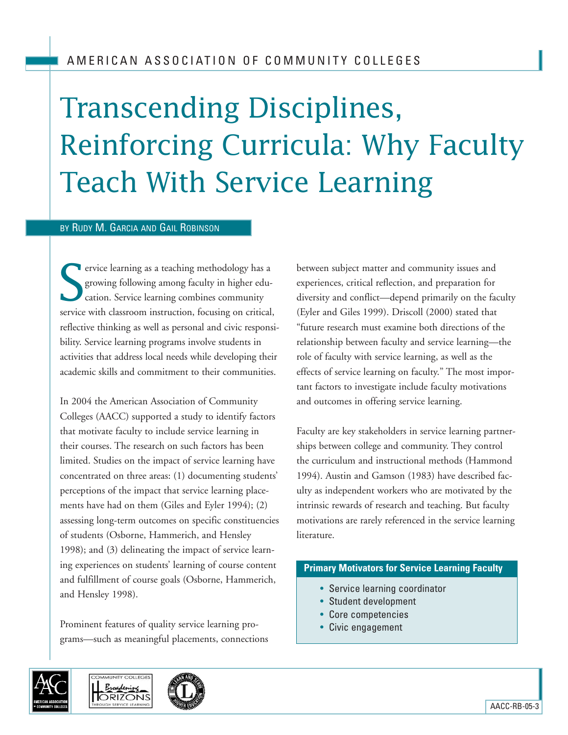# Transcending Disciplines, Reinforcing Curricula: Why Faculty Teach With Service Learning

#### BY RUDY M. GARCIA AND GAIL ROBINSON

S **T** ervice learning as a teaching methodology has a growing following among faculty in higher education. Service learning combines community service with classroom instruction, focusing on critical, reflective thinking as well as personal and civic responsibility. Service learning programs involve students in activities that address local needs while developing their academic skills and commitment to their communities.

In 2004 the American Association of Community Colleges (AACC) supported a study to identify factors that motivate faculty to include service learning in their courses. The research on such factors has been limited. Studies on the impact of service learning have concentrated on three areas: (1) documenting students' perceptions of the impact that service learning placements have had on them (Giles and Eyler 1994); (2) assessing long-term outcomes on specific constituencies of students (Osborne, Hammerich, and Hensley 1998); and (3) delineating the impact of service learning experiences on students' learning of course content and fulfillment of course goals (Osborne, Hammerich, and Hensley 1998).

Prominent features of quality service learning programs—such as meaningful placements, connections





between subject matter and community issues and experiences, critical reflection, and preparation for diversity and conflict—depend primarily on the faculty (Eyler and Giles 1999). Driscoll (2000) stated that "future research must examine both directions of the relationship between faculty and service learning—the role of faculty with service learning, as well as the effects of service learning on faculty." The most important factors to investigate include faculty motivations and outcomes in offering service learning.

Faculty are key stakeholders in service learning partnerships between college and community. They control the curriculum and instructional methods (Hammond 1994). Austin and Gamson (1983) have described faculty as independent workers who are motivated by the intrinsic rewards of research and teaching. But faculty motivations are rarely referenced in the service learning literature.

## **Primary Motivators for Service Learning Faculty**

- Service learning coordinator
- Student development
- Core competencies
- Civic engagement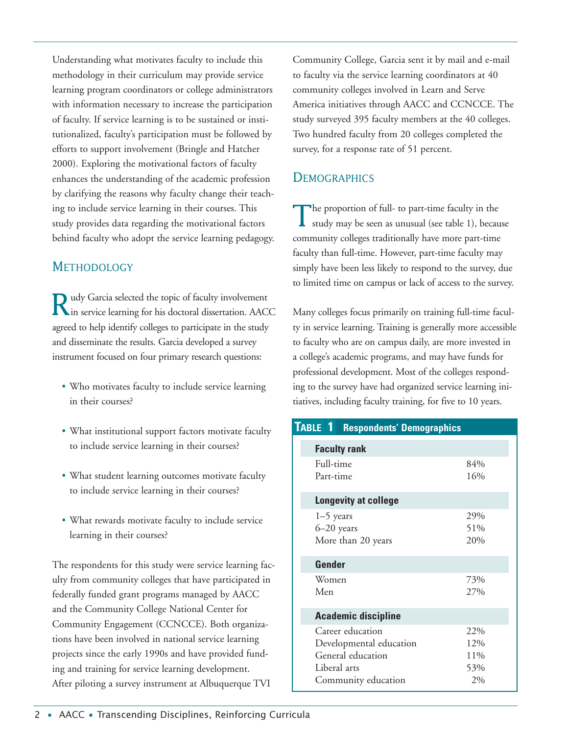Understanding what motivates faculty to include this methodology in their curriculum may provide service learning program coordinators or college administrators with information necessary to increase the participation of faculty. If service learning is to be sustained or institutionalized, faculty's participation must be followed by efforts to support involvement (Bringle and Hatcher 2000). Exploring the motivational factors of faculty enhances the understanding of the academic profession by clarifying the reasons why faculty change their teaching to include service learning in their courses. This study provides data regarding the motivational factors behind faculty who adopt the service learning pedagogy.

## **METHODOLOGY**

Rudy Garcia selected the topic of faculty involvement in service learning for his doctoral dissertation. AACC agreed to help identify colleges to participate in the study and disseminate the results. Garcia developed a survey instrument focused on four primary research questions:

- Who motivates faculty to include service learning in their courses?
- What institutional support factors motivate faculty to include service learning in their courses?
- What student learning outcomes motivate faculty to include service learning in their courses?
- What rewards motivate faculty to include service learning in their courses?

The respondents for this study were service learning faculty from community colleges that have participated in federally funded grant programs managed by AACC and the Community College National Center for Community Engagement (CCNCCE). Both organizations have been involved in national service learning projects since the early 1990s and have provided funding and training for service learning development. After piloting a survey instrument at Albuquerque TVI

Community College, Garcia sent it by mail and e-mail to faculty via the service learning coordinators at 40 community colleges involved in Learn and Serve America initiatives through AACC and CCNCCE. The study surveyed 395 faculty members at the 40 colleges. Two hundred faculty from 20 colleges completed the survey, for a response rate of 51 percent.

# **DEMOGRAPHICS**

The proportion of full- to part-time faculty in the study may be seen as unusual (see table 1), because community colleges traditionally have more part-time faculty than full-time. However, part-time faculty may simply have been less likely to respond to the survey, due to limited time on campus or lack of access to the survey.

Many colleges focus primarily on training full-time faculty in service learning. Training is generally more accessible to faculty who are on campus daily, are more invested in a college's academic programs, and may have funds for professional development. Most of the colleges responding to the survey have had organized service learning initiatives, including faculty training, for five to 10 years.

| TABLE 1<br><b>Respondents' Demographics</b> |     |
|---------------------------------------------|-----|
| <b>Faculty rank</b>                         |     |
| Full-time                                   | 84% |
| Part-time                                   | 16% |
| Longevity at college                        |     |
| $1-5$ years                                 | 29% |
| $6 - 20$ years                              | 51% |
| More than 20 years                          | 20% |
| Gender                                      |     |
| Women                                       | 73% |
| Men                                         | 27% |
| <b>Academic discipline</b>                  |     |
| Career education                            | 22% |
| Developmental education                     | 12% |
| General education                           | 11% |
| Liberal arts                                | 53% |
| Community education                         | 2%  |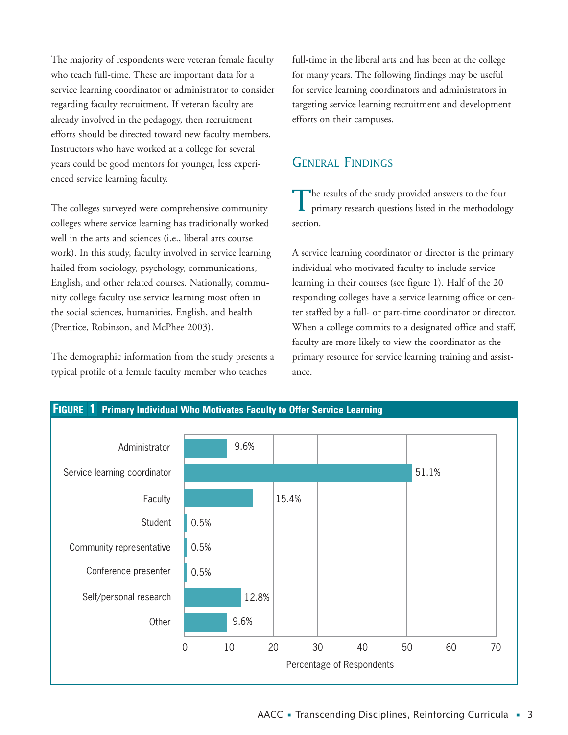The majority of respondents were veteran female faculty who teach full-time. These are important data for a service learning coordinator or administrator to consider regarding faculty recruitment. If veteran faculty are already involved in the pedagogy, then recruitment efforts should be directed toward new faculty members. Instructors who have worked at a college for several years could be good mentors for younger, less experienced service learning faculty.

The colleges surveyed were comprehensive community colleges where service learning has traditionally worked well in the arts and sciences (i.e., liberal arts course work). In this study, faculty involved in service learning hailed from sociology, psychology, communications, English, and other related courses. Nationally, community college faculty use service learning most often in the social sciences, humanities, English, and health (Prentice, Robinson, and McPhee 2003).

The demographic information from the study presents a typical profile of a female faculty member who teaches

full-time in the liberal arts and has been at the college for many years. The following findings may be useful for service learning coordinators and administrators in targeting service learning recruitment and development efforts on their campuses.

## GENERAL FINDINGS

The results of the study provided answers to the four primary research questions listed in the methodology section.

A service learning coordinator or director is the primary individual who motivated faculty to include service learning in their courses (see figure 1). Half of the 20 responding colleges have a service learning office or center staffed by a full- or part-time coordinator or director. When a college commits to a designated office and staff, faculty are more likely to view the coordinator as the primary resource for service learning training and assistance.

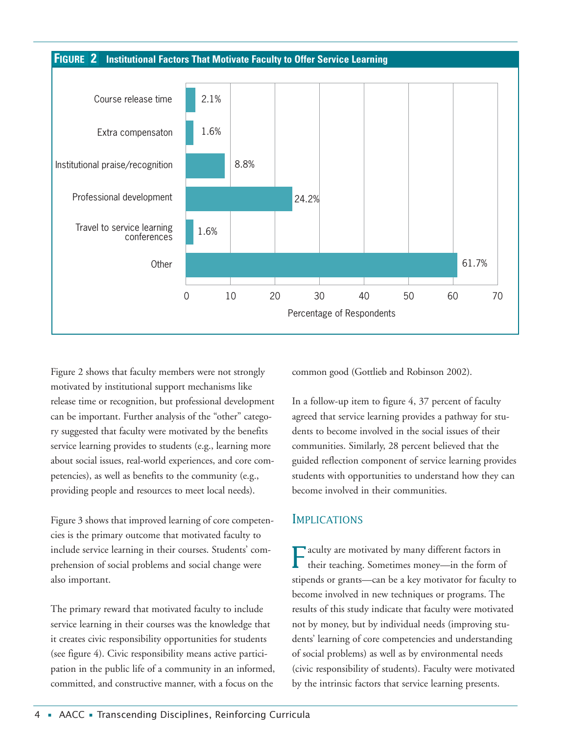

Figure 2 shows that faculty members were not strongly motivated by institutional support mechanisms like release time or recognition, but professional development can be important. Further analysis of the "other" category suggested that faculty were motivated by the benefits service learning provides to students (e.g., learning more about social issues, real-world experiences, and core competencies), as well as benefits to the community (e.g., providing people and resources to meet local needs).

Figure 3 shows that improved learning of core competencies is the primary outcome that motivated faculty to include service learning in their courses. Students' comprehension of social problems and social change were also important.

The primary reward that motivated faculty to include service learning in their courses was the knowledge that it creates civic responsibility opportunities for students (see figure 4). Civic responsibility means active participation in the public life of a community in an informed, committed, and constructive manner, with a focus on the

common good (Gottlieb and Robinson 2002).

In a follow-up item to figure 4, 37 percent of faculty agreed that service learning provides a pathway for students to become involved in the social issues of their communities. Similarly, 28 percent believed that the guided reflection component of service learning provides students with opportunities to understand how they can become involved in their communities.

## **IMPLICATIONS**

Faculty are motivated by many different factors in their teaching. Sometimes money—in the form of stipends or grants—can be a key motivator for faculty to become involved in new techniques or programs. The results of this study indicate that faculty were motivated not by money, but by individual needs (improving students' learning of core competencies and understanding of social problems) as well as by environmental needs (civic responsibility of students). Faculty were motivated by the intrinsic factors that service learning presents.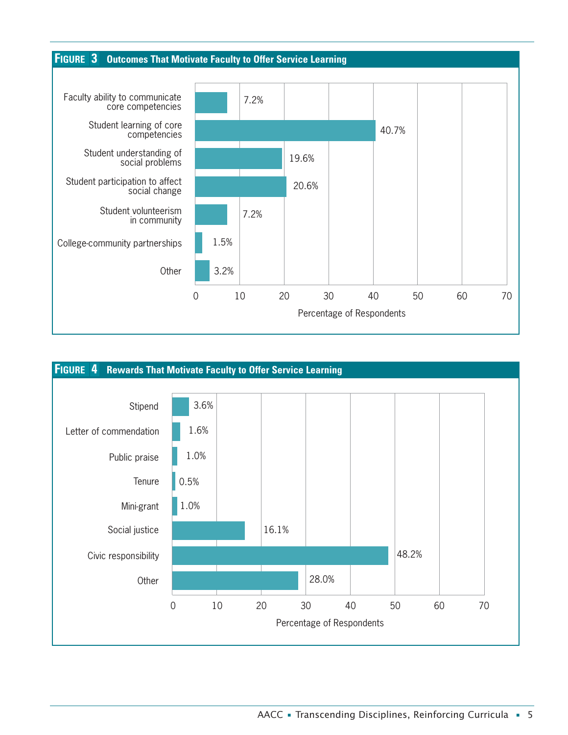

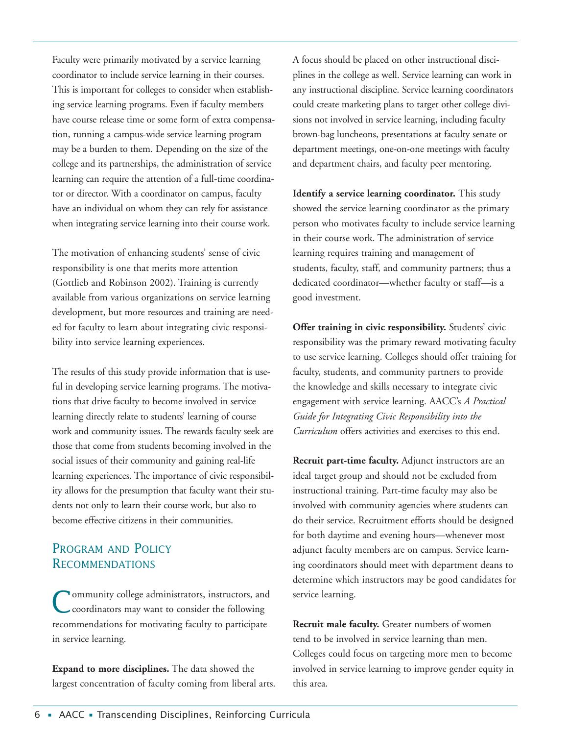Faculty were primarily motivated by a service learning coordinator to include service learning in their courses. This is important for colleges to consider when establishing service learning programs. Even if faculty members have course release time or some form of extra compensation, running a campus-wide service learning program may be a burden to them. Depending on the size of the college and its partnerships, the administration of service learning can require the attention of a full-time coordinator or director. With a coordinator on campus, faculty have an individual on whom they can rely for assistance when integrating service learning into their course work.

The motivation of enhancing students' sense of civic responsibility is one that merits more attention (Gottlieb and Robinson 2002). Training is currently available from various organizations on service learning development, but more resources and training are needed for faculty to learn about integrating civic responsibility into service learning experiences.

The results of this study provide information that is useful in developing service learning programs. The motivations that drive faculty to become involved in service learning directly relate to students' learning of course work and community issues. The rewards faculty seek are those that come from students becoming involved in the social issues of their community and gaining real-life learning experiences. The importance of civic responsibility allows for the presumption that faculty want their students not only to learn their course work, but also to become effective citizens in their communities.

## PROGRAM AND POLICY RECOMMENDATIONS

Community college administrators, instructors, and<br>
coordinators may want to consider the following recommendations for motivating faculty to participate in service learning.

**Expand to more disciplines.** The data showed the largest concentration of faculty coming from liberal arts. A focus should be placed on other instructional disciplines in the college as well. Service learning can work in any instructional discipline. Service learning coordinators could create marketing plans to target other college divisions not involved in service learning, including faculty brown-bag luncheons, presentations at faculty senate or department meetings, one-on-one meetings with faculty and department chairs, and faculty peer mentoring.

**Identify a service learning coordinator.** This study showed the service learning coordinator as the primary person who motivates faculty to include service learning in their course work. The administration of service learning requires training and management of students, faculty, staff, and community partners; thus a dedicated coordinator—whether faculty or staff—is a good investment.

**Offer training in civic responsibility.** Students' civic responsibility was the primary reward motivating faculty to use service learning. Colleges should offer training for faculty, students, and community partners to provide the knowledge and skills necessary to integrate civic engagement with service learning. AACC's *A Practical Guide for Integrating Civic Responsibility into the Curriculum* offers activities and exercises to this end.

**Recruit part-time faculty.** Adjunct instructors are an ideal target group and should not be excluded from instructional training. Part-time faculty may also be involved with community agencies where students can do their service. Recruitment efforts should be designed for both daytime and evening hours—whenever most adjunct faculty members are on campus. Service learning coordinators should meet with department deans to determine which instructors may be good candidates for service learning.

**Recruit male faculty.** Greater numbers of women tend to be involved in service learning than men. Colleges could focus on targeting more men to become involved in service learning to improve gender equity in this area.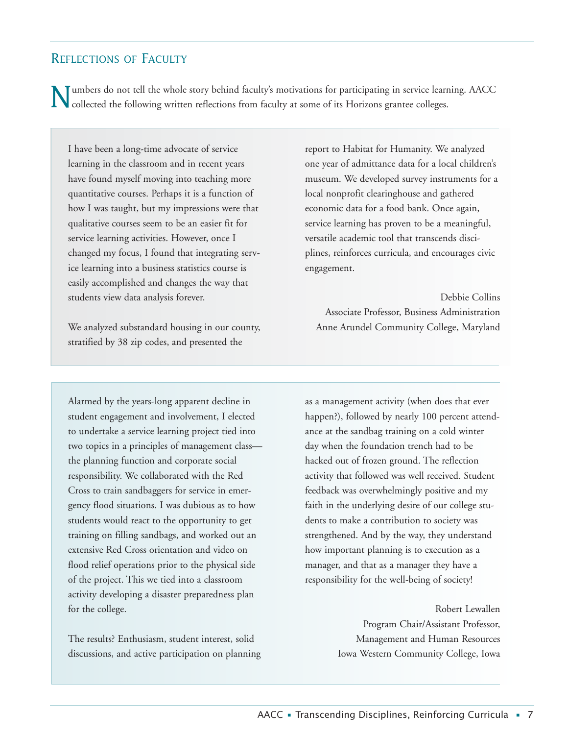## REFLECTIONS OF FACULTY

I umbers do not tell the whole story behind faculty's motivations for participating in service learning. AACC collected the following written reflections from faculty at some of its Horizons grantee colleges.

I have been a long-time advocate of service learning in the classroom and in recent years have found myself moving into teaching more quantitative courses. Perhaps it is a function of how I was taught, but my impressions were that qualitative courses seem to be an easier fit for service learning activities. However, once I changed my focus, I found that integrating service learning into a business statistics course is easily accomplished and changes the way that students view data analysis forever.

We analyzed substandard housing in our county, stratified by 38 zip codes, and presented the

Alarmed by the years-long apparent decline in student engagement and involvement, I elected to undertake a service learning project tied into two topics in a principles of management class the planning function and corporate social responsibility. We collaborated with the Red Cross to train sandbaggers for service in emergency flood situations. I was dubious as to how students would react to the opportunity to get training on filling sandbags, and worked out an extensive Red Cross orientation and video on flood relief operations prior to the physical side of the project. This we tied into a classroom activity developing a disaster preparedness plan for the college.

The results? Enthusiasm, student interest, solid discussions, and active participation on planning report to Habitat for Humanity. We analyzed one year of admittance data for a local children's museum. We developed survey instruments for a local nonprofit clearinghouse and gathered economic data for a food bank. Once again, service learning has proven to be a meaningful, versatile academic tool that transcends disciplines, reinforces curricula, and encourages civic engagement.

Debbie Collins Associate Professor, Business Administration Anne Arundel Community College, Maryland

as a management activity (when does that ever happen?), followed by nearly 100 percent attendance at the sandbag training on a cold winter day when the foundation trench had to be hacked out of frozen ground. The reflection activity that followed was well received. Student feedback was overwhelmingly positive and my faith in the underlying desire of our college students to make a contribution to society was strengthened. And by the way, they understand how important planning is to execution as a manager, and that as a manager they have a responsibility for the well-being of society!

> Robert Lewallen Program Chair/Assistant Professor, Management and Human Resources Iowa Western Community College, Iowa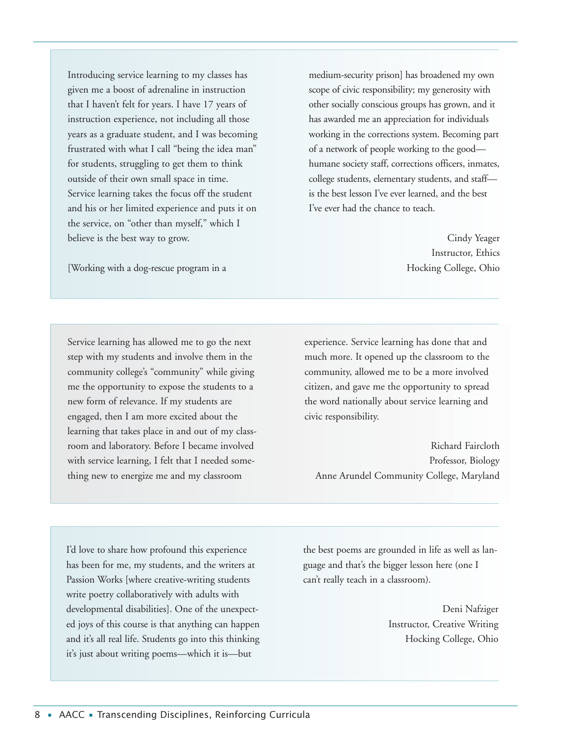Introducing service learning to my classes has given me a boost of adrenaline in instruction that I haven't felt for years. I have 17 years of instruction experience, not including all those years as a graduate student, and I was becoming frustrated with what I call "being the idea man" for students, struggling to get them to think outside of their own small space in time. Service learning takes the focus off the student and his or her limited experience and puts it on the service, on "other than myself," which I believe is the best way to grow.

medium-security prison] has broadened my own scope of civic responsibility; my generosity with other socially conscious groups has grown, and it has awarded me an appreciation for individuals working in the corrections system. Becoming part of a network of people working to the good humane society staff, corrections officers, inmates, college students, elementary students, and staff is the best lesson I've ever learned, and the best I've ever had the chance to teach.

> Cindy Yeager Instructor, Ethics Hocking College, Ohio

[Working with a dog-rescue program in a

Service learning has allowed me to go the next step with my students and involve them in the community college's "community" while giving me the opportunity to expose the students to a new form of relevance. If my students are engaged, then I am more excited about the learning that takes place in and out of my classroom and laboratory. Before I became involved with service learning, I felt that I needed something new to energize me and my classroom

experience. Service learning has done that and much more. It opened up the classroom to the community, allowed me to be a more involved citizen, and gave me the opportunity to spread the word nationally about service learning and civic responsibility.

Richard Faircloth Professor, Biology Anne Arundel Community College, Maryland

I'd love to share how profound this experience has been for me, my students, and the writers at Passion Works [where creative-writing students write poetry collaboratively with adults with developmental disabilities]. One of the unexpected joys of this course is that anything can happen and it's all real life. Students go into this thinking it's just about writing poems—which it is—but

the best poems are grounded in life as well as language and that's the bigger lesson here (one I can't really teach in a classroom).

> Deni Nafziger Instructor, Creative Writing Hocking College, Ohio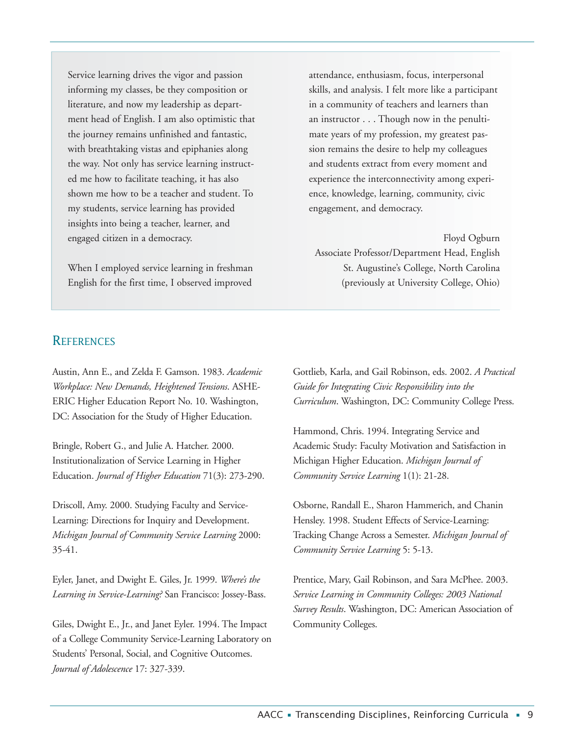Service learning drives the vigor and passion informing my classes, be they composition or literature, and now my leadership as department head of English. I am also optimistic that the journey remains unfinished and fantastic, with breathtaking vistas and epiphanies along the way. Not only has service learning instructed me how to facilitate teaching, it has also shown me how to be a teacher and student. To my students, service learning has provided insights into being a teacher, learner, and engaged citizen in a democracy.

When I employed service learning in freshman English for the first time, I observed improved

attendance, enthusiasm, focus, interpersonal skills, and analysis. I felt more like a participant in a community of teachers and learners than an instructor . . . Though now in the penultimate years of my profession, my greatest passion remains the desire to help my colleagues and students extract from every moment and experience the interconnectivity among experience, knowledge, learning, community, civic engagement, and democracy.

Floyd Ogburn Associate Professor/Department Head, English St. Augustine's College, North Carolina (previously at University College, Ohio)

#### **REFERENCES**

Austin, Ann E., and Zelda F. Gamson. 1983. *Academic Workplace: New Demands, Heightened Tensions*. ASHE-ERIC Higher Education Report No. 10. Washington, DC: Association for the Study of Higher Education.

Bringle, Robert G., and Julie A. Hatcher. 2000. Institutionalization of Service Learning in Higher Education. *Journal of Higher Education* 71(3): 273-290.

Driscoll, Amy. 2000. Studying Faculty and Service-Learning: Directions for Inquiry and Development. *Michigan Journal of Community Service Learning* 2000: 35-41.

Eyler, Janet, and Dwight E. Giles, Jr. 1999. *Where's the Learning in Service-Learning?* San Francisco: Jossey-Bass.

Giles, Dwight E., Jr., and Janet Eyler. 1994. The Impact of a College Community Service-Learning Laboratory on Students' Personal, Social, and Cognitive Outcomes. *Journal of Adolescence* 17: 327-339.

Gottlieb, Karla, and Gail Robinson, eds. 2002. *A Practical Guide for Integrating Civic Responsibility into the Curriculum*. Washington, DC: Community College Press.

Hammond, Chris. 1994. Integrating Service and Academic Study: Faculty Motivation and Satisfaction in Michigan Higher Education. *Michigan Journal of Community Service Learning* 1(1): 21-28.

Osborne, Randall E., Sharon Hammerich, and Chanin Hensley. 1998. Student Effects of Service-Learning: Tracking Change Across a Semester. *Michigan Journal of Community Service Learning* 5: 5-13.

Prentice, Mary, Gail Robinson, and Sara McPhee. 2003. *Service Learning in Community Colleges: 2003 National Survey Results*. Washington, DC: American Association of Community Colleges.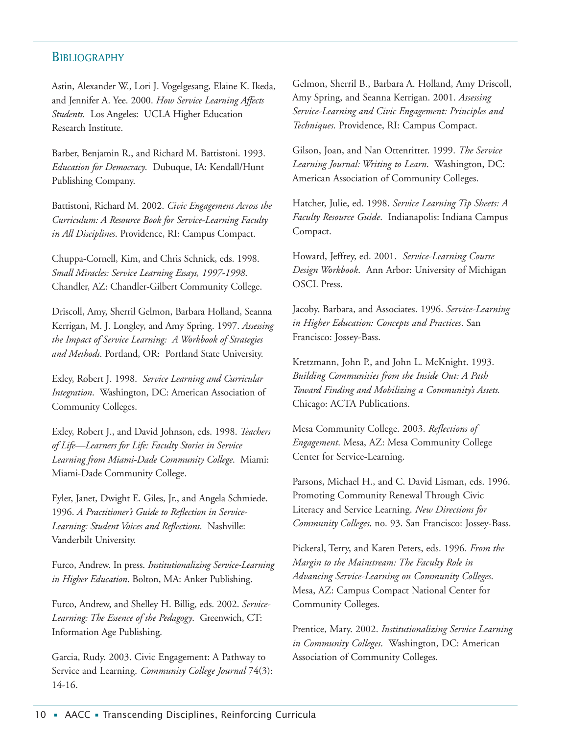## **BIBLIOGRAPHY**

Astin, Alexander W., Lori J. Vogelgesang, Elaine K. Ikeda, and Jennifer A. Yee. 2000. *How Service Learning Affects Students.* Los Angeles: UCLA Higher Education Research Institute.

Barber, Benjamin R., and Richard M. Battistoni. 1993. *Education for Democracy*. Dubuque, IA: Kendall/Hunt Publishing Company.

Battistoni, Richard M. 2002. *Civic Engagement Across the Curriculum: A Resource Book for Service-Learning Faculty in All Disciplines*. Providence, RI: Campus Compact.

Chuppa-Cornell, Kim, and Chris Schnick, eds. 1998. *Small Miracles: Service Learning Essays, 1997-1998*. Chandler, AZ: Chandler-Gilbert Community College.

Driscoll, Amy, Sherril Gelmon, Barbara Holland, Seanna Kerrigan, M. J. Longley, and Amy Spring. 1997. *Assessing the Impact of Service Learning: A Workbook of Strategies and Methods*. Portland, OR: Portland State University.

Exley, Robert J. 1998. *Service Learning and Curricular Integration*. Washington, DC: American Association of Community Colleges.

Exley, Robert J., and David Johnson, eds. 1998. *Teachers of Life—Learners for Life: Faculty Stories in Service Learning from Miami-Dade Community College*. Miami: Miami-Dade Community College.

Eyler, Janet, Dwight E. Giles, Jr., and Angela Schmiede. 1996. *A Practitioner's Guide to Reflection in Service-Learning: Student Voices and Reflections*. Nashville: Vanderbilt University.

Furco, Andrew. In press. *Institutionalizing Service-Learning in Higher Education*. Bolton, MA: Anker Publishing.

Furco, Andrew, and Shelley H. Billig, eds. 2002. *Service-Learning: The Essence of the Pedagogy*. Greenwich, CT: Information Age Publishing.

Garcia, Rudy. 2003. Civic Engagement: A Pathway to Service and Learning. *Community College Journal* 74(3): 14-16.

Gelmon, Sherril B., Barbara A. Holland, Amy Driscoll, Amy Spring, and Seanna Kerrigan. 2001. *Assessing Service-Learning and Civic Engagement: Principles and Techniques*. Providence, RI: Campus Compact.

Gilson, Joan, and Nan Ottenritter. 1999. *The Service Learning Journal: Writing to Learn*. Washington, DC: American Association of Community Colleges.

Hatcher, Julie, ed. 1998. *Service Learning Tip Sheets: A Faculty Resource Guide*. Indianapolis: Indiana Campus Compact.

Howard, Jeffrey, ed. 2001. *Service-Learning Course Design Workbook*. Ann Arbor: University of Michigan OSCL Press.

Jacoby, Barbara, and Associates. 1996. *Service-Learning in Higher Education: Concepts and Practices*. San Francisco: Jossey-Bass.

Kretzmann, John P., and John L. McKnight. 1993. *Building Communities from the Inside Out: A Path Toward Finding and Mobilizing a Community's Assets.* Chicago: ACTA Publications.

Mesa Community College. 2003. *Reflections of Engagement*. Mesa, AZ: Mesa Community College Center for Service-Learning.

Parsons, Michael H., and C. David Lisman, eds. 1996. Promoting Community Renewal Through Civic Literacy and Service Learning. *New Directions for Community Colleges*, no. 93. San Francisco: Jossey-Bass.

Pickeral, Terry, and Karen Peters, eds. 1996. *From the Margin to the Mainstream: The Faculty Role in Advancing Service-Learning on Community Colleges*. Mesa, AZ: Campus Compact National Center for Community Colleges.

Prentice, Mary. 2002. *Institutionalizing Service Learning in Community Colleges*. Washington, DC: American Association of Community Colleges.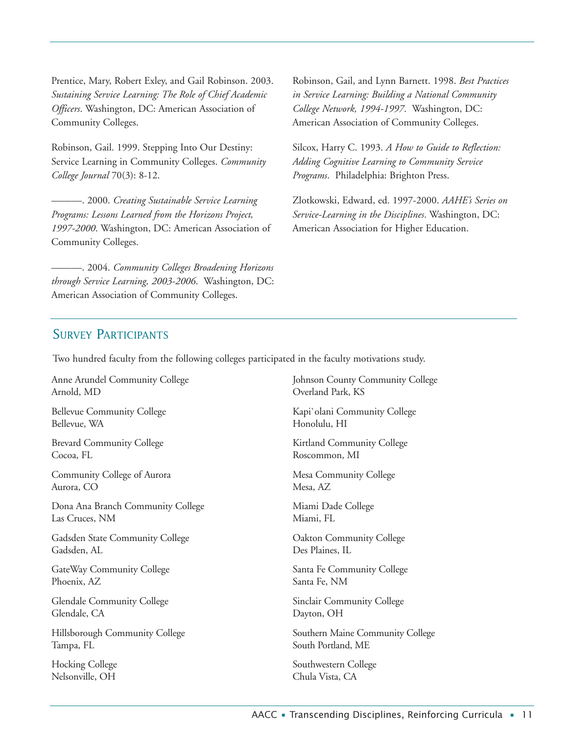Prentice, Mary, Robert Exley, and Gail Robinson. 2003. *Sustaining Service Learning: The Role of Chief Academic Officers*. Washington, DC: American Association of Community Colleges.

Robinson, Gail. 1999. Stepping Into Our Destiny: Service Learning in Community Colleges. *Community College Journal* 70(3): 8-12.

———. 2000. *Creating Sustainable Service Learning Programs: Lessons Learned from the Horizons Project, 1997-2000*. Washington, DC: American Association of Community Colleges.

———. 2004. *Community Colleges Broadening Horizons through Service Learning, 2003-2006*. Washington, DC: American Association of Community Colleges.

Robinson, Gail, and Lynn Barnett. 1998. *Best Practices in Service Learning: Building a National Community College Network, 1994-1997*. Washington, DC: American Association of Community Colleges.

Silcox, Harry C. 1993. *A How to Guide to Reflection: Adding Cognitive Learning to Community Service Programs*. Philadelphia: Brighton Press.

Zlotkowski, Edward, ed. 1997-2000. *AAHE's Series on Service-Learning in the Disciplines*. Washington, DC: American Association for Higher Education.

## SURVEY PARTICIPANTS

Two hundred faculty from the following colleges participated in the faculty motivations study.

Anne Arundel Community College Arnold, MD

Bellevue Community College Bellevue, WA

Brevard Community College Cocoa, FL

Community College of Aurora Aurora, CO

Dona Ana Branch Community College Las Cruces, NM

Gadsden State Community College Gadsden, AL

GateWay Community College Phoenix, AZ

Glendale Community College Glendale, CA

Hillsborough Community College Tampa, FL

Hocking College Nelsonville, OH

Johnson County Community College Overland Park, KS

Kapi`olani Community College Honolulu, HI

Kirtland Community College Roscommon, MI

Mesa Community College Mesa, AZ

Miami Dade College Miami, FL

Oakton Community College Des Plaines, IL

Santa Fe Community College Santa Fe, NM

Sinclair Community College Dayton, OH

Southern Maine Community College South Portland, ME

Southwestern College Chula Vista, CA